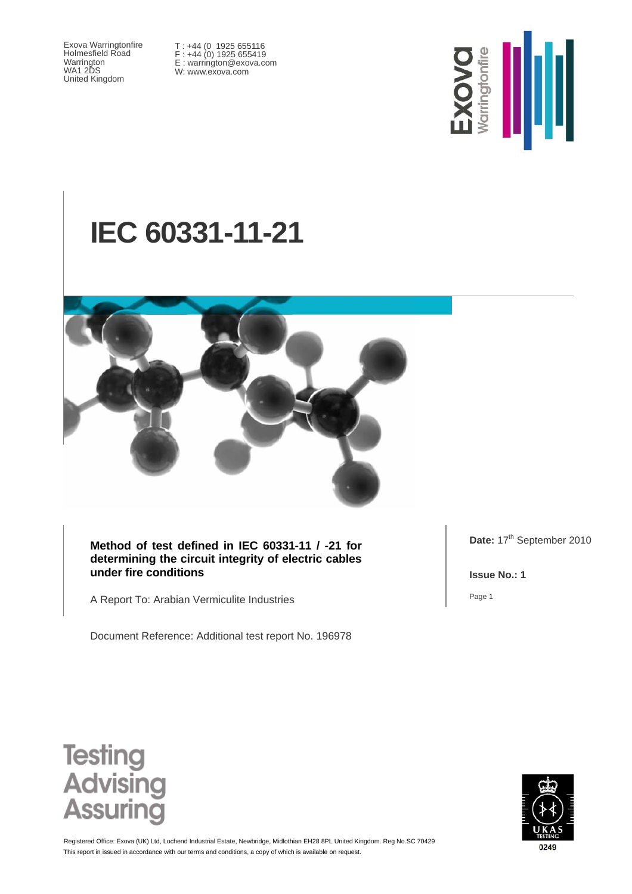Exova Warringtonfire Holmesfield Road Warrington WA1 2DS United Kingdom

T : +44 (0 1925 655116 F : +44 (0) 1925 655419 E : warrington@exova.com W: www.exova.com



# **IEC 60331-11-21**



**Method of test defined in IEC 60331-11 / -21 for determining the circuit integrity of electric cables under fire conditions** 

A Report To: Arabian Vermiculite Industries

Document Reference: Additional test report No. 196978

Date: 17<sup>th</sup> September 2010

**Issue No.: 1** 

Page 1





This report in issued in accordance with our terms and conditions, a copy of which is available on request. Registered Office: Exova (UK) Ltd, Lochend Industrial Estate, Newbridge, Midlothian EH28 8PL United Kingdom. Reg No.SC 70429

0249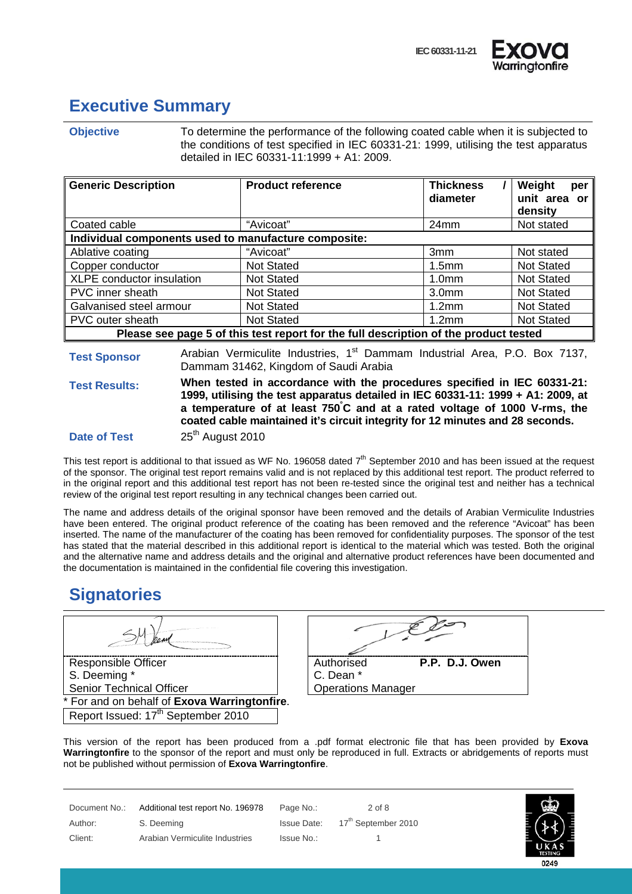

# **Executive Summary**

**Objective** To determine the performance of the following coated cable when it is subjected to the conditions of test specified in IEC 60331-21: 1999, utilising the test apparatus detailed in IEC 60331-11:1999 + A1: 2009.

| <b>Generic Description</b>                                                           | <b>Product reference</b> | <b>Thickness</b><br>diameter | Weight<br>per<br>unit area or<br>density |  |
|--------------------------------------------------------------------------------------|--------------------------|------------------------------|------------------------------------------|--|
| Coated cable                                                                         | "Avicoat"                | 24mm                         | Not stated                               |  |
| Individual components used to manufacture composite:                                 |                          |                              |                                          |  |
| Ablative coating                                                                     | "Avicoat"                | 3mm                          | Not stated                               |  |
| Copper conductor                                                                     | <b>Not Stated</b>        | 1.5 <sub>mm</sub>            | <b>Not Stated</b>                        |  |
| XLPE conductor insulation                                                            | <b>Not Stated</b>        | 1.0 <sub>mm</sub>            | <b>Not Stated</b>                        |  |
| PVC inner sheath                                                                     | <b>Not Stated</b>        | 3.0 <sub>mm</sub>            | <b>Not Stated</b>                        |  |
| Galvanised steel armour                                                              | <b>Not Stated</b>        | 1.2 <sub>mm</sub>            | <b>Not Stated</b>                        |  |
| PVC outer sheath                                                                     | <b>Not Stated</b>        | 1.2 <sub>mm</sub>            | <b>Not Stated</b>                        |  |
| Please see page 5 of this test report for the full description of the product tested |                          |                              |                                          |  |

**Test Sponsor** Arabian Vermiculite Industries, 1<sup>st</sup> Dammam Industrial Area, P.O. Box 7137, Dammam 31462, Kingdom of Saudi Arabia

**Test Results: When tested in accordance with the procedures specified in IEC 60331-21: 1999, utilising the test apparatus detailed in IEC 60331-11: 1999 + A1: 2009, at a temperature of at least 750° C and at a rated voltage of 1000 V-rms, the coated cable maintained it's circuit integrity for 12 minutes and 28 seconds.**

**Date of Test** 25<sup>th</sup> August 2010

This test report is additional to that issued as WF No. 196058 dated  $7<sup>th</sup>$  September 2010 and has been issued at the request of the sponsor. The original test report remains valid and is not replaced by this additional test report. The product referred to in the original report and this additional test report has not been re-tested since the original test and neither has a technical review of the original test report resulting in any technical changes been carried out.

The name and address details of the original sponsor have been removed and the details of Arabian Vermiculite Industries have been entered. The original product reference of the coating has been removed and the reference "Avicoat" has been inserted. The name of the manufacturer of the coating has been removed for confidentiality purposes. The sponsor of the test has stated that the material described in this additional report is identical to the material which was tested. Both the original and the alternative name and address details and the original and alternative product references have been documented and the documentation is maintained in the confidential file covering this investigation.

### **Signatories**

Responsible Officer S. Deeming \* Senior Technical Officer For and on behalf of **Exova Warringtonfire**.

Report Issued: 17<sup>th</sup> September 2010

| Authorised                | P.P. D.J. Owen |
|---------------------------|----------------|
| C. Dean *                 |                |
| <b>Operations Manager</b> |                |

This version of the report has been produced from a .pdf format electronic file that has been provided by **Exova Warringtonfire** to the sponsor of the report and must only be reproduced in full. Extracts or abridgements of reports must not be published without permission of **Exova Warringtonfire**.

| Document No.: | Additional test report No. 196978 | Page No.:   | 2 of 8                          |
|---------------|-----------------------------------|-------------|---------------------------------|
| Author:       | S. Deeming                        | Issue Date: | 17 <sup>th</sup> September 2010 |
| Client:       | Arabian Vermiculite Industries    | Issue No.:  |                                 |

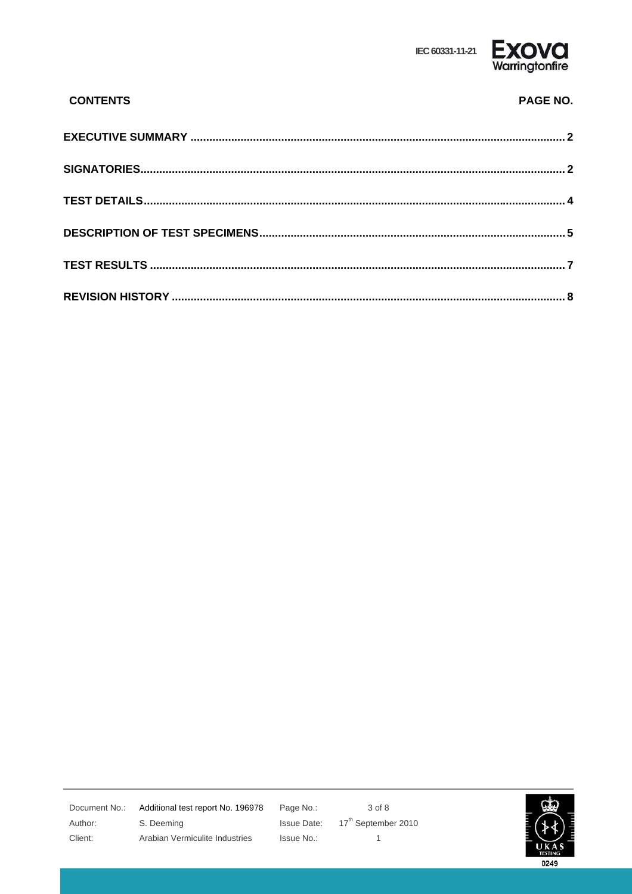

| <b>CONTENTS</b> | <b>PAGE NO.</b> |
|-----------------|-----------------|
|                 |                 |
|                 |                 |
|                 |                 |
|                 |                 |
|                 |                 |
|                 |                 |

Document No.: Author: Client:

Additional test report No. 196978 S. Deeming Arabian Vermiculite Industries

Page No.: **Issue Date:** Issue No.:

3 of 8  $17^{\text{th}}$  September 2010  $\mathbf{1}$ 

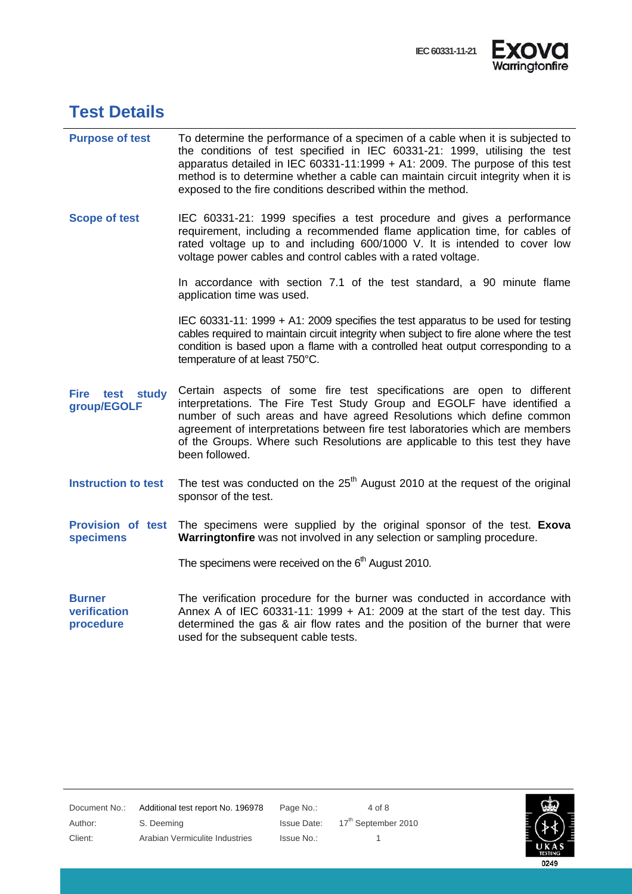

### **Test Details**

| <b>Purpose of test</b>                     | To determine the performance of a specimen of a cable when it is subjected to<br>the conditions of test specified in IEC 60331-21: 1999, utilising the test<br>apparatus detailed in IEC 60331-11:1999 + A1: 2009. The purpose of this test<br>method is to determine whether a cable can maintain circuit integrity when it is<br>exposed to the fire conditions described within the method.             |  |
|--------------------------------------------|------------------------------------------------------------------------------------------------------------------------------------------------------------------------------------------------------------------------------------------------------------------------------------------------------------------------------------------------------------------------------------------------------------|--|
| <b>Scope of test</b>                       | IEC 60331-21: 1999 specifies a test procedure and gives a performance<br>requirement, including a recommended flame application time, for cables of<br>rated voltage up to and including 600/1000 V. It is intended to cover low<br>voltage power cables and control cables with a rated voltage.                                                                                                          |  |
|                                            | In accordance with section 7.1 of the test standard, a 90 minute flame<br>application time was used.                                                                                                                                                                                                                                                                                                       |  |
|                                            | IEC 60331-11: 1999 + A1: 2009 specifies the test apparatus to be used for testing<br>cables required to maintain circuit integrity when subject to fire alone where the test<br>condition is based upon a flame with a controlled heat output corresponding to a<br>temperature of at least 750°C.                                                                                                         |  |
| Fire<br>test<br>study<br>group/EGOLF       | Certain aspects of some fire test specifications are open to different<br>interpretations. The Fire Test Study Group and EGOLF have identified a<br>number of such areas and have agreed Resolutions which define common<br>agreement of interpretations between fire test laboratories which are members<br>of the Groups. Where such Resolutions are applicable to this test they have<br>been followed. |  |
| <b>Instruction to test</b>                 | The test was conducted on the $25th$ August 2010 at the request of the original<br>sponsor of the test.                                                                                                                                                                                                                                                                                                    |  |
| Provision of test<br><b>specimens</b>      | The specimens were supplied by the original sponsor of the test. Exoval<br>Warringtonfire was not involved in any selection or sampling procedure.                                                                                                                                                                                                                                                         |  |
|                                            | The specimens were received on the $6th$ August 2010.                                                                                                                                                                                                                                                                                                                                                      |  |
| <b>Burner</b><br>verification<br>procedure | The verification procedure for the burner was conducted in accordance with<br>Annex A of IEC 60331-11: 1999 + A1: 2009 at the start of the test day. This<br>determined the gas & air flow rates and the position of the burner that were<br>used for the subsequent cable tests.                                                                                                                          |  |



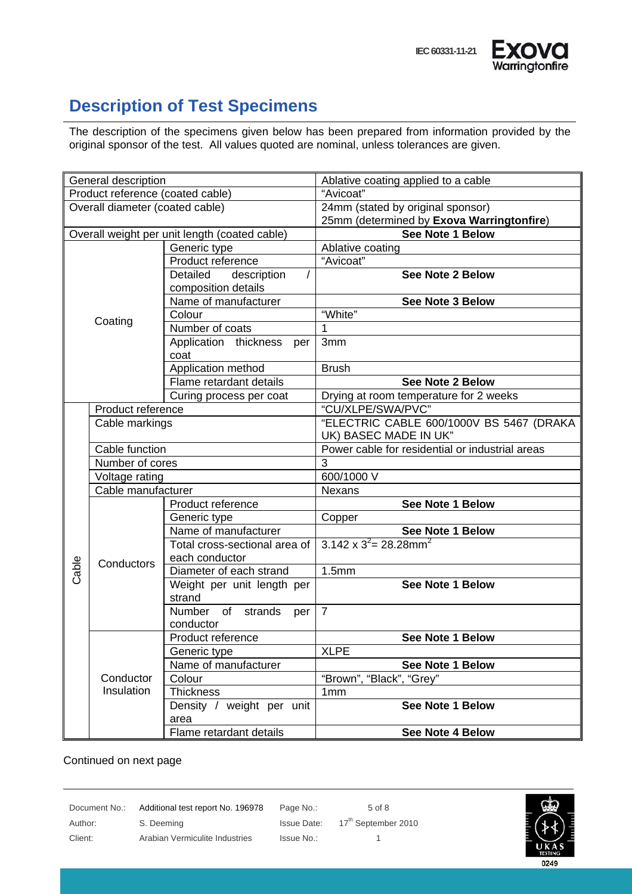# **Description of Test Specimens**

The description of the specimens given below has been prepared from information provided by the original sponsor of the test. All values quoted are nominal, unless tolerances are given.

| General description              |                         |                                               | Ablative coating applied to a cable             |  |
|----------------------------------|-------------------------|-----------------------------------------------|-------------------------------------------------|--|
| Product reference (coated cable) |                         |                                               | "Avicoat"                                       |  |
| Overall diameter (coated cable)  |                         |                                               | 24mm (stated by original sponsor)               |  |
|                                  |                         |                                               | 25mm (determined by Exova Warringtonfire)       |  |
|                                  |                         | Overall weight per unit length (coated cable) | <b>See Note 1 Below</b>                         |  |
|                                  |                         | Generic type                                  | Ablative coating                                |  |
|                                  |                         | Product reference                             | "Avicoat"                                       |  |
|                                  |                         | Detailed<br>description                       | <b>See Note 2 Below</b>                         |  |
|                                  |                         | composition details                           |                                                 |  |
|                                  |                         | Name of manufacturer                          | See Note 3 Below                                |  |
|                                  | Coating                 | Colour                                        | "White"                                         |  |
|                                  |                         | Number of coats                               | 1                                               |  |
|                                  |                         | Application thickness<br>per                  | 3mm                                             |  |
|                                  |                         | coat                                          |                                                 |  |
|                                  |                         | Application method                            | <b>Brush</b>                                    |  |
|                                  |                         | Flame retardant details                       | See Note 2 Below                                |  |
|                                  |                         | Curing process per coat                       | Drying at room temperature for 2 weeks          |  |
|                                  | Product reference       |                                               | "CU/XLPE/SWA/PVC"                               |  |
|                                  | Cable markings          |                                               | "ELECTRIC CABLE 600/1000V BS 5467 (DRAKA        |  |
|                                  |                         |                                               | UK) BASEC MADE IN UK"                           |  |
|                                  | Cable function          |                                               | Power cable for residential or industrial areas |  |
|                                  | Number of cores         |                                               | 3                                               |  |
|                                  | Voltage rating          |                                               | 600/1000 V                                      |  |
|                                  | Cable manufacturer      |                                               | <b>Nexans</b>                                   |  |
|                                  |                         | Product reference                             | See Note 1 Below                                |  |
|                                  |                         | Generic type                                  | Copper                                          |  |
|                                  |                         | Name of manufacturer                          | See Note 1 Below                                |  |
|                                  |                         | Total cross-sectional area of                 | $3.142 \times 3^2 = 28.28$ mm <sup>2</sup>      |  |
|                                  | Conductors              | each conductor                                |                                                 |  |
| Cable                            |                         | Diameter of each strand                       | 1.5mm                                           |  |
|                                  |                         | Weight per unit length per                    | See Note 1 Below                                |  |
|                                  |                         | strand                                        |                                                 |  |
|                                  |                         | Number<br>of<br>strands<br>per                | $\overline{7}$                                  |  |
|                                  |                         | conductor                                     |                                                 |  |
|                                  | Conductor<br>Insulation | Product reference                             | <b>See Note 1 Below</b>                         |  |
|                                  |                         | Generic type                                  | <b>XLPE</b>                                     |  |
|                                  |                         | Name of manufacturer                          | See Note 1 Below                                |  |
|                                  |                         | Colour                                        | "Brown", "Black", "Grey"                        |  |
|                                  |                         | <b>Thickness</b>                              | 1 <sub>mm</sub>                                 |  |
|                                  |                         | Density / weight per unit                     | See Note 1 Below                                |  |
|                                  |                         | area                                          |                                                 |  |
|                                  |                         | Flame retardant details                       | See Note 4 Below                                |  |

#### Continued on next page

Document No.: Additional test report No. 196978 Page No.: 5 of 8 Author: S. Deeming S. Deeming Issue Date: 17<sup>th</sup> September 2010 Client: Arabian Vermiculite Industries Issue No.: 1

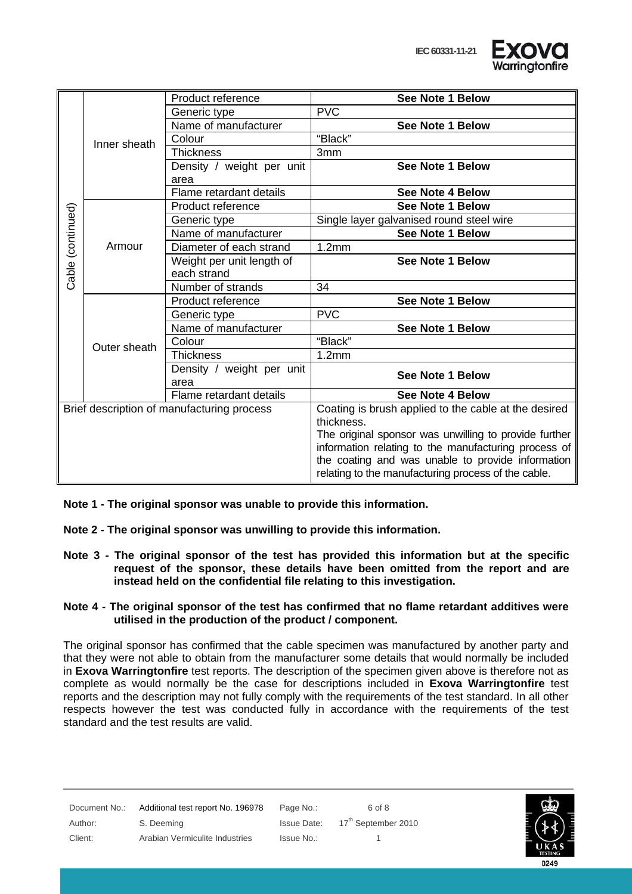

|                                            |              | Product reference         | See Note 1 Below                                      |
|--------------------------------------------|--------------|---------------------------|-------------------------------------------------------|
|                                            | Inner sheath | Generic type              | <b>PVC</b>                                            |
|                                            |              | Name of manufacturer      | See Note 1 Below                                      |
|                                            |              | Colour                    | "Black"                                               |
|                                            |              | <b>Thickness</b>          | 3 <sub>mm</sub>                                       |
|                                            |              | Density / weight per unit | See Note 1 Below                                      |
|                                            |              | area                      |                                                       |
|                                            |              | Flame retardant details   | See Note 4 Below                                      |
|                                            |              | Product reference         | See Note 1 Below                                      |
|                                            |              | Generic type              | Single layer galvanised round steel wire              |
|                                            |              | Name of manufacturer      | <b>See Note 1 Below</b>                               |
| Cable (continued)                          | Armour       | Diameter of each strand   | 1.2mm                                                 |
|                                            |              | Weight per unit length of | See Note 1 Below                                      |
|                                            |              | each strand               |                                                       |
|                                            |              | Number of strands         | 34                                                    |
|                                            |              | Product reference         | See Note 1 Below                                      |
|                                            | Outer sheath | Generic type              | <b>PVC</b>                                            |
|                                            |              | Name of manufacturer      | See Note 1 Below                                      |
|                                            |              | Colour                    | "Black"                                               |
|                                            |              | <b>Thickness</b>          | 1.2 <sub>mm</sub>                                     |
|                                            |              | Density / weight per unit | See Note 1 Below                                      |
|                                            |              | area                      |                                                       |
|                                            |              | Flame retardant details   | See Note 4 Below                                      |
| Brief description of manufacturing process |              |                           | Coating is brush applied to the cable at the desired  |
|                                            |              |                           | thickness.                                            |
|                                            |              |                           | The original sponsor was unwilling to provide further |
|                                            |              |                           | information relating to the manufacturing process of  |
|                                            |              |                           | the coating and was unable to provide information     |
|                                            |              |                           | relating to the manufacturing process of the cable.   |

**Note 1 - The original sponsor was unable to provide this information.** 

**Note 2 - The original sponsor was unwilling to provide this information.** 

- **Note 3 The original sponsor of the test has provided this information but at the specific request of the sponsor, these details have been omitted from the report and are instead held on the confidential file relating to this investigation.**
- **Note 4 The original sponsor of the test has confirmed that no flame retardant additives were utilised in the production of the product / component.**

The original sponsor has confirmed that the cable specimen was manufactured by another party and that they were not able to obtain from the manufacturer some details that would normally be included in **Exova Warringtonfire** test reports. The description of the specimen given above is therefore not as complete as would normally be the case for descriptions included in **Exova Warringtonfire** test reports and the description may not fully comply with the requirements of the test standard. In all other respects however the test was conducted fully in accordance with the requirements of the test standard and the test results are valid.

| Document No.: | Additional test report No. 196978 | Page No.:          | 6 of 8                          |                        |
|---------------|-----------------------------------|--------------------|---------------------------------|------------------------|
| Author:       | S. Deeming                        | <b>Issue Date:</b> | 17 <sup>th</sup> September 2010 |                        |
| Client:       | Arabian Vermiculite Industries    | Issue No.:         |                                 | UKAS<br><b>TESTING</b> |
|               |                                   |                    |                                 | 0249                   |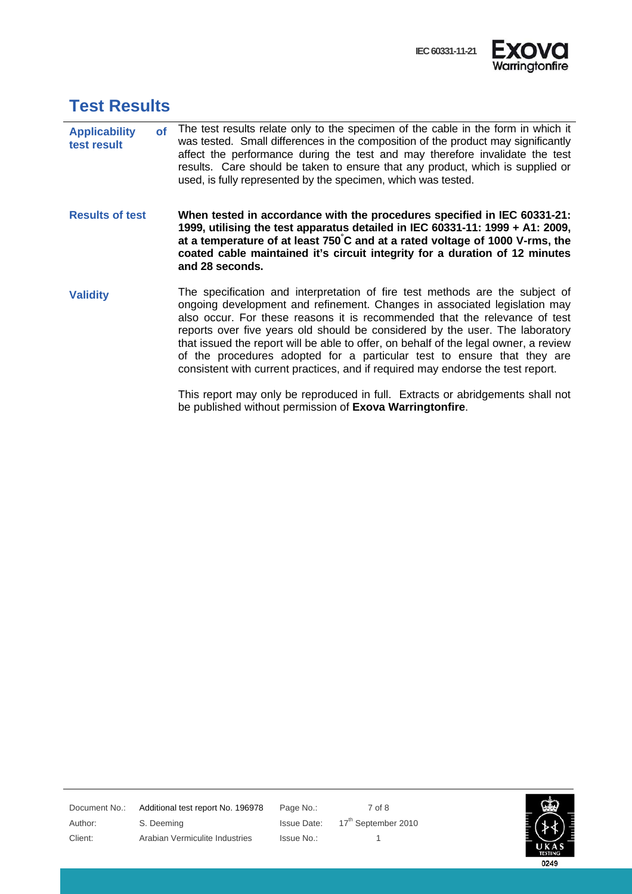

#### **Test Results**

- **Applicability of test result**  The test results relate only to the specimen of the cable in the form in which it was tested. Small differences in the composition of the product may significantly affect the performance during the test and may therefore invalidate the test results. Care should be taken to ensure that any product, which is supplied or used, is fully represented by the specimen, which was tested.
- **Results of test When tested in accordance with the procedures specified in IEC 60331-21: 1999, utilising the test apparatus detailed in IEC 60331-11: 1999 + A1: 2009, at a temperature of at least 750° C and at a rated voltage of 1000 V-rms, the coated cable maintained it's circuit integrity for a duration of 12 minutes and 28 seconds.**
- **Validity** The specification and interpretation of fire test methods are the subject of ongoing development and refinement. Changes in associated legislation may also occur. For these reasons it is recommended that the relevance of test reports over five years old should be considered by the user. The laboratory that issued the report will be able to offer, on behalf of the legal owner, a review of the procedures adopted for a particular test to ensure that they are consistent with current practices, and if required may endorse the test report.

This report may only be reproduced in full. Extracts or abridgements shall not be published without permission of **Exova Warringtonfire**.

Document No.: Additional test report No. 196978 Page No.: 7 of 8 Author: S. Deeming S. Deeming Issue Date: 17<sup>th</sup> September 2010 Client: Arabian Vermiculite Industries Issue No.: 1